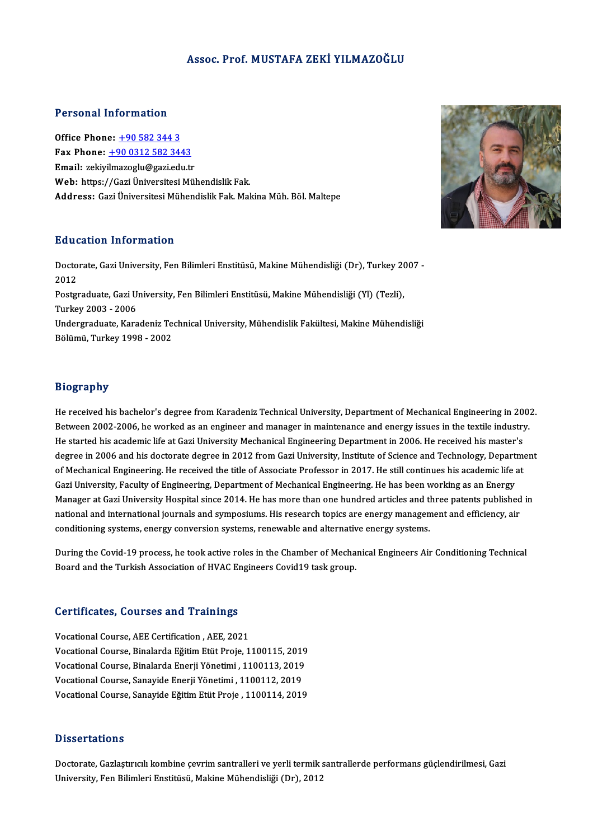### Assoc. Prof.MUSTAFA ZEKİ YILMAZOĞLU

### Personal Information

Office Phone: +90 582 344 3 Fax Phone: <u>+90 582 344 3</u><br>Fax Phone: <u>+90 0312 582 3443</u><br>Fmail: geliumerech:@seri.edu.tr Office Phone: <u>+90 582 344 3</u><br>Fax Phone: <u>+90 0312 582 3443</u><br>Email: zekiy[ilmazoglu@gazi.edu.t](tel:+90 0312 582 3443)r<br>Web: https://Cari.Universitesi.Möl Email: zekiyilmazoglu@gazi.edu.tr<br>Web: https://Gazi Üniversitesi Mühendislik Fak. Address: Gazi Üniversitesi Mühendislik Fak. Makina Müh. Böl. Maltepe

### Education Information

**Education Information**<br>Doctorate, Gazi University, Fen Bilimleri Enstitüsü, Makine Mühendisliği (Dr), Turkey 2007 -<br>2012 Huute<br>Docto<br>2012 Doctorate, Gazi University, Fen Bilimleri Enstitüsü, Makine Mühendisliği (Dr), Turkey 20<br>2012<br>Postgraduate, Gazi University, Fen Bilimleri Enstitüsü, Makine Mühendisliği (Yl) (Tezli),<br>Turkey 2002 - 2006 2012<br>Postgraduate, Gazi University, Fen Bilimleri Enstitüsü, Makine Mühendisliği (Yl) (Tezli),<br>Turkey 2003 - 2006 Postgraduate, Gazi University, Fen Bilimleri Enstitüsü, Makine Mühendisliği (Yl) (Tezli),<br>Turkey 2003 - 2006<br>Undergraduate, Karadeniz Technical University, Mühendislik Fakültesi, Makine Mühendisliği<br>Pölümü, Turkey 1998 - 2 Turkey 2003 - 2006<br>Undergraduate, Karadeniz Te<br>Bölümü, Turkey 1998 - 2002 Bölümü, Turkey 1998 - 2002<br>Biography

**Biography<br>He received his bachelor's degree from Karadeniz Technical University, Department of Mechanical Engineering in 2002.**<br>Peturear 2002.2006, he viorked as an angineer and manager in maintenance and energy issues in Between<br>Between 2002-2006, he worked as an engineer and manager in maintenance and energy issues in the textile industry.<br>Between 2002-2006, he worked as an engineer and manager in maintenance and energy issues in the text He received his bachelor's degree from Karadeniz Technical University, Department of Mechanical Engineering in 20<br>Between 2002-2006, he worked as an engineer and manager in maintenance and energy issues in the textile indu Between 2002-2006, he worked as an engineer and manager in maintenance and energy issues in the textile industry.<br>He started his academic life at Gazi University Mechanical Engineering Department in 2006. He received his m He started his academic life at Gazi University Mechanical Engineering Department in 2006. He received his master's<br>degree in 2006 and his doctorate degree in 2012 from Gazi University, Institute of Science and Technology, degree in 2006 and his doctorate degree in 2012 from Gazi University, Institute of Science and Technology, Depart<br>of Mechanical Engineering, He received the title of Associate Professor in 2017. He still continues his acad of Mechanical Engineering. He received the title of Associate Professor in 2017. He still continues his academic life at<br>Gazi University, Faculty of Engineering, Department of Mechanical Engineering. He has been working as Gazi University, Faculty of Engineering, Department of Mechanical Engineering. He has been working as an Energy<br>Manager at Gazi University Hospital since 2014. He has more than one hundred articles and three patents publis Manager at Gazi University Hospital since 2014. He has more than one hundred articles and three patents published in<br>national and international journals and symposiums. His research topics are energy management and efficie

national and incritational journals and symposiums. This research topics are energy management and emerging, an<br>conditioning systems, energy conversion systems, renewable and alternative energy systems.<br>During the Covid-19 Bondhoming systems, energy conversion systems, renewable and and rhand<br>Board and the Turkish Association of HVAC Engineers Covid19 task group.

# Board and the Turkish Association of HVAC Entry<br>Certificates, Courses and Trainings

**Certificates, Courses and Trainings<br>Vocational Course, AEE Certification , AEE, 2021<br>Vocational Course, Binalarda Făitim Etüt Proje 1** Vocational Course, AEE Certification , AEE, 2021<br>Vocational Course, AEE Certification , AEE, 2021<br>Vocational Course, Binalarda Eperii Vänetimi, 1100115, 2019<br>Vocational Course, Binalarda Eperii Vänetimi, 1100113, 2019 Vocational Course, AEE Certification , AEE, 2021<br>Vocational Course, Binalarda Eğitim Etüt Proje, 1100115, 2019<br>Vocational Course, Binalarda Enerji Yönetimi , 1100113, 2019<br>Vocational Course, Sanavide Enerji Yönetimi , 1100 Vocational Course, Binalarda Eğitim Etüt Proje, 1100115, 2019<br>Vocational Course, Binalarda Enerji Yönetimi , 1100113, 2019<br>Vocational Course, Sanayide Enerji Yönetimi , 1100112, 2019<br>Vocational Course, Sanayide Eğitim Etüt Vocational Course, Binalarda Enerji Yönetimi , 1100113, 2019<br>Vocational Course, Sanayide Enerji Yönetimi , 1100112, 2019<br>Vocational Course, Sanayide Eğitim Etüt Proje , 1100114, 2019

### **Dissertations**

Doctorate, Gazlaştırıcılı kombine çevrim santralleri ve yerli termik santrallerde performans güçlendirilmesi, Gazi University, Fen Bilimleri Enstitüsü, Makine Mühendisliği (Dr), 2012

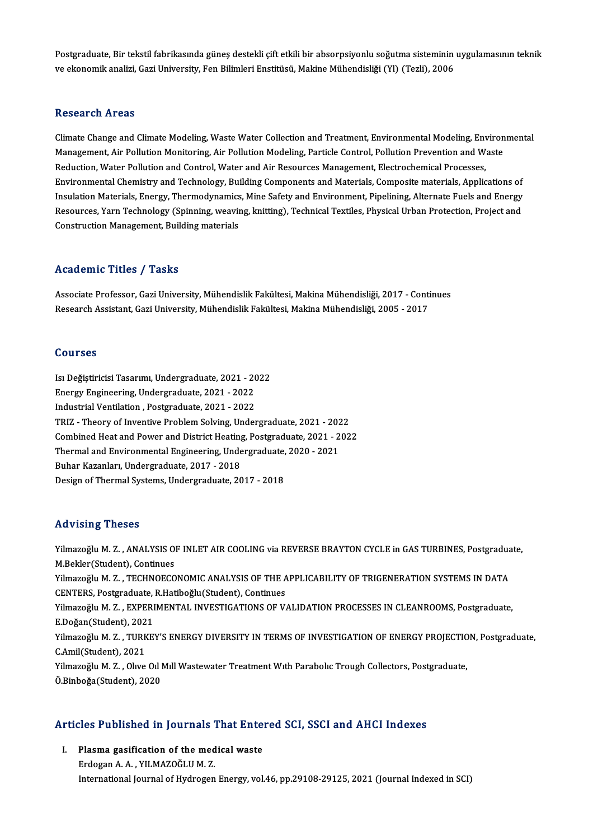Postgraduate, Bir tekstil fabrikasında güneş destekli çift etkili bir absorpsiyonlu soğutma sisteminin uygulamasının teknik<br>ve ekanomik analizi, Cari University, Fon Bilimleri Enstitüsü, Makine Mühendieliği (VI) (Terli), 2 Postgraduate, Bir tekstil fabrikasında güneş destekli çift etkili bir absorpsiyonlu soğutma sisteminin<br>ve ekonomik analizi, Gazi University, Fen Bilimleri Enstitüsü, Makine Mühendisliği (Yl) (Tezli), 2006 ve ekonomik analizi, Gazi University, Fen Bilimleri Enstitüsü, Makine Mühendisliği (Yl) (Tezli), 2006<br>Research Areas

Research Areas<br>Climate Change and Climate Modeling, Waste Water Collection and Treatment, Environmental Modeling, Environmental<br>Management, Air Pollution Monitoring, Air Pollution Modeling, Particle Control, Pollution Prev resear on 11 cas<br>Climate Change and Climate Modeling, Waste Water Collection and Treatment, Environmental Modeling, Environ<br>Management, Air Pollution Monitoring, Air Pollution Modeling, Particle Control, Pollution Preventi Climate Change and Climate Modeling, Waste Water Collection and Treatment, Environmental Modeling, Env<br>Management, Air Pollution Monitoring, Air Pollution Modeling, Particle Control, Pollution Prevention and W<br>Reduction, W Management, Air Pollution Monitoring, Air Pollution Modeling, Particle Control, Pollution Prevention and Waste<br>Reduction, Water Pollution and Control, Water and Air Resources Management, Electrochemical Processes,<br>Environm Reduction, Water Pollution and Control, Water and Air Resources Management, Electrochemical Processes,<br>Environmental Chemistry and Technology, Building Components and Materials, Composite materials, Applications of<br>Insulat Environmental Chemistry and Technology, Building Components and Materials, Composite materials, Applications of<br>Insulation Materials, Energy, Thermodynamics, Mine Safety and Environment, Pipelining, Alternate Fuels and Ene Insulation Materials, Energy, Thermodynamics<br>Resources, Yarn Technology (Spinning, weavir<br>Construction Management, Building materials Construction Management, Building materials<br>Academic Titles / Tasks

Academic Titles / Tasks<br>Associate Professor, Gazi University, Mühendislik Fakültesi, Makina Mühendisliği, 2017 - Continues<br>Researsh Assistant, Gazi University, Mühendislik Fakültesi, Makina Mühendisliği, 2005 - 2017 rredu emre "rrres", "rasks<br>Associate Professor, Gazi University, Mühendislik Fakültesi, Makina Mühendisliği, 2017 - Conti<br>Research Assistant, Gazi University, Mühendislik Fakültesi, Makina Mühendisliği, 2005 - 2017 Research Assistant, Gazi University, Mühendislik Fakültesi, Makina Mühendisliği, 2005 - 2017<br>Courses

Courses<br>Isı Değiştiricisi Tasarımı, Undergraduate, 2021 - 2022<br>Energy Engineering, Undergraduate, 2021 - 2022 Soursss<br>Isı Değiştiricisi Tasarımı, Undergraduate, 2021 - 20<br>Energy Engineering, Undergraduate, 2021 - 2022<br>Industrial Vantilation, Bostareduate, 2021 - 2022 Isı Değiştiricisi Tasarımı, Undergraduate, 2021 - 20<br>Energy Engineering, Undergraduate, 2021 - 2022<br>Industrial Ventilation , Postgraduate, 2021 - 2022<br>TBIZ - Theory of Inventive Problem Selving, Under Energy Engineering, Undergraduate, 2021 - 2022<br>Industrial Ventilation , Postgraduate, 2021 - 2022<br>TRIZ - Theory of Inventive Problem Solving, Undergraduate, 2021 - 2022<br>Combined Hest and Rewer and District Hesting, Restand Industrial Ventilation , Postgraduate, 2021 - 2022<br>TRIZ - Theory of Inventive Problem Solving, Undergraduate, 2021 - 2022<br>Combined Heat and Power and District Heating, Postgraduate, 2021 - 2022<br>Thermal and Environmental En TRIZ - Theory of Inventive Problem Solving, Undergraduate, 2021 - 2021<br>Combined Heat and Power and District Heating, Postgraduate, 2021 - 2<br>Thermal and Environmental Engineering, Undergraduate, 2020 - 2021<br>Puber Karanlary Combined Heat and Power and District Heating, Postgraduate, 2021 - 2022<br>Thermal and Environmental Engineering, Undergraduate, 2020 - 2021<br>Buhar Kazanları, Undergraduate, 2017 - 2018 Design of Thermal Systems, Undergraduate, 2017 - 2018

### Advising Theses

Advising Theses<br>Yilmazoğlu M. Z. , ANALYSIS OF INLET AIR COOLING via REVERSE BRAYTON CYCLE in GAS TURBINES, Postgraduate,<br>M.Bekler(Student), Continues raa vienny<br>1. Milmazoğlu M. Z. , ANALYSIS O<br>M.Bekler(Student), Continues<br>1. M. Z. , TECHNOECO Yilmazoğlu M. Z. , ANALYSIS OF INLET AIR COOLING via REVERSE BRAYTON CYCLE in GAS TURBINES, Postgradua<br>M.Bekler(Student), Continues<br>Yilmazoğlu M. Z. , TECHNOECONOMIC ANALYSIS OF THE APPLICABILITY OF TRIGENERATION SYSTEMS I M.Bekler(Student), Continues<br>Yilmazoğlu M. Z. , TECHNOECONOMIC ANALYSIS OF THE A<br>CENTERS, Postgraduate, R.Hatiboğlu(Student), Continues<br>Vilmazoğlu M. Z. , EXPERIMENTAL INVESTIC ATIONS OF V. Yilmazoğlu M. Z. , TECHNOECONOMIC ANALYSIS OF THE APPLICABILITY OF TRIGENERATION SYSTEMS IN DATA<br>CENTERS, Postgraduate, R.Hatiboğlu(Student), Continues<br>Yilmazoğlu M. Z. , EXPERIMENTAL INVESTIGATIONS OF VALIDATION PROCESSES CENTERS, Postgraduate,<br>Yilmazoğlu M. Z. , EXPERI<br>E.Doğan(Student), 2021<br>Yilmazoğlu M. Z., TURKE' Yilmazoğlu M. Z. , EXPERIMENTAL INVESTIGATIONS OF VALIDATION PROCESSES IN CLEANROOMS, Postgraduate,<br>E.Doğan(Student), 2021<br>Yilmazoğlu M. Z. , TURKEY'S ENERGY DIVERSITY IN TERMS OF INVESTIGATION OF ENERGY PROJECTION, Postgr E.Doğan(Student), 202<br>Yilmazoğlu M. Z. , TURK<br>C.Amil(Student), 2021<br><sup>Vilmazoğlu</sup> M. <sup>7</sup>. Oluro Yilmazoğlu M. Z. , TURKEY'S ENERGY DIVERSITY IN TERMS OF INVESTIGATION OF ENERGY PROJECTIO<br>C.Amil(Student), 2021<br>Yilmazoğlu M. Z. , Olive Oil Mill Wastewater Treatment With Parabolic Trough Collectors, Postgraduate,<br>Ö.Binh C.Amil(Student), 2021<br>Yilmazoğlu M. Z. , Olıve Oıl Mıll Wastewater Treatment Wıth Parabolıc Trough Collectors, Postgraduate,<br>Ö.Binboğa(Student), 2020

# o.sinboga(student), 2020<br>Articles Published in Journals That Entered SCI, SSCI and AHCI Indexes

The Fublished in Journals That Enter<br>I. Plasma gasification of the medical waste Plasma gasification of the medical waste<br>Erdogan A.A., YILMAZOĞLUM.Z. International Journal of Hydrogen Energy, vol.46, pp.29108-29125, 2021 (Journal Indexed in SCI)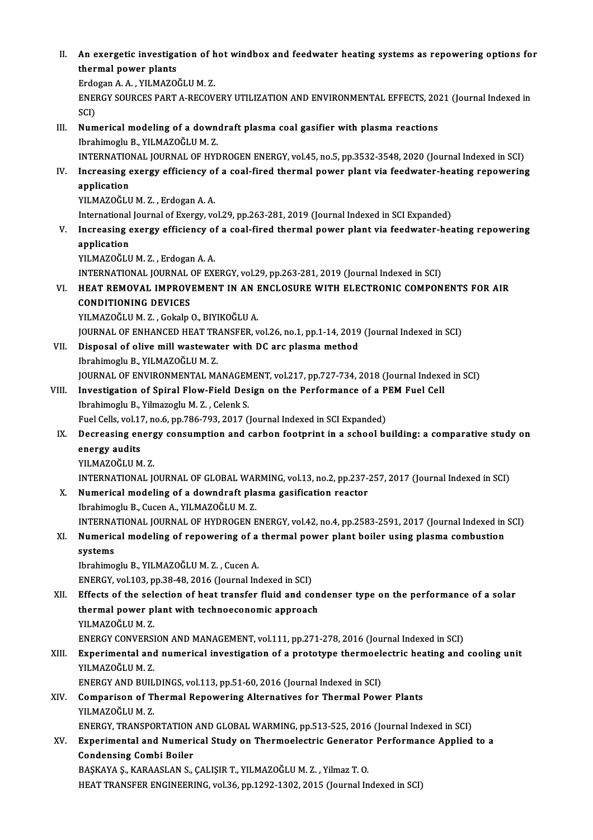II. An exergetic investigation of hot windbox and feedwater heating systems as repowering options for<br>thermal newer plants An exergetic investiga<br>thermal power plants<br>Erdegan A.A., YUMAZO An exergetic investigation of h<br>thermal power plants<br>Erdogan A. A. , YILMAZOĞLU M. Z.<br>ENEDCY SOUDCES PART A PECOV

thermal power plants<br>Erdogan A. A. , YILMAZOĞLU M. Z.<br>ENERGY SOURCES PART A-RECOVERY UTILIZATION AND ENVIRONMENTAL EFFECTS, 2021 (Journal Indexed in<br>SCI) Erdo<br>ENEI<br>SCI)<br>Num ENERGY SOURCES PART A-RECOVERY UTILIZATION AND ENVIRONMENTAL EFFECTS, 20:<br>SCI)<br>III. Numerical modeling of a downdraft plasma coal gasifier with plasma reactions<br>Ibrahimagly P. VII M470ČLUM 7

- SCI)<br>Numerical modeling of a down<br>Ibrahimoglu B., YILMAZOĞLU M. Z.<br>INTERNATIONAL JOURNAL OF HYL Ibrahimoglu B., YILMAZOĞLU M. Z.<br>INTERNATIONAL JOURNAL OF HYDROGEN ENERGY, vol.45, no.5, pp.3532-3548, 2020 (Journal Indexed in SCI) Ibrahimoglu B., YILMAZOĞLU M. Z.<br>INTERNATIONAL JOURNAL OF HYDROGEN ENERGY, vol.45, no.5, pp.3532-3548, 2020 (Journal Indexed in SCI)<br>IV. Increasing exergy efficiency of a coal-fired thermal power plant via feedwater-he
- **INTERNATIO**<br>Increasing<br>application<br>VII MAZOČI I Increasing exergy efficiency of<br>application<br>YILMAZOĞLU M. Z. , Erdogan A. A.<br>International Journal of Exergy ye application<br>19 YILMAZOĞLU M. Z. , Erdogan A. A.<br>International Journal of Exergy, vol.29, pp.263-281, 2019 (Journal Indexed in SCI Expanded)

V. Increasing exergy efficiency of a coal-fired thermal power plant via feedwater-heating repowering application

YILMAZOĞLUM.Z., Erdogan A.A. application<br>YILMAZOĞLU M. Z. , Erdogan A. A.<br>INTERNATIONAL JOURNAL OF EXERGY, vol.29, pp.263-281, 2019 (Journal Indexed in SCI)<br>HEAT REMOVAL JMBROVEMENT IN AN ENCLOSURE WITH ELECTRONIC COMPON YILMAZOĞLU M. Z. , Erdogan A. A.<br>INTERNATIONAL JOURNAL OF EXERGY, vol.29, pp.263-281, 2019 (Journal Indexed in SCI)<br>VI. HEAT REMOVAL IMPROVEMENT IN AN ENCLOSURE WITH ELECTRONIC COMPONENTS FOR AIR<br>CONDITIONING DEVICES

INTERNATIONAL JOURNAL<br>HEAT REMOVAL IMPROV<br>CONDITIONING DEVICES<br>YU MAZOČLUM Z. Colala HEAT REMOVAL IMPROVEMENT IN AN I<br>CONDITIONING DEVICES<br>YILMAZOĞLU M. Z. , Gokalp O., BIYIKOĞLU A.<br>JOUPNAL OE ENHANCED HEAT TRANSEER .. CONDITIONING DEVICES<br>YILMAZOĞLU M. Z. , Gokalp O., BIYIKOĞLU A.<br>JOURNAL OF ENHANCED HEAT TRANSFER, vol.26, no.1, pp.1-14, 2019 (Journal Indexed in SCI)<br>Pianosal of olive mill wastawstar with P.C are plasme method.

YILMAZOĞLU M. Z. , Gokalp O., BIYIKOĞLU A.<br>JOURNAL OF ENHANCED HEAT TRANSFER, vol.26, no.1, pp.1-14, 2019<br>VII. Disposal of olive mill wastewater with DC arc plasma method<br>Ibrahimoglu B. VII MAZOĞLU M. Z. JOURNAL OF ENHANCED HEAT TR<br>Disposal of olive mill wastewat<br>Ibrahimoglu B., YILMAZOĞLU M. Z.<br>JOUPNAL OF ENVIPONMENTAL M/ Disposal of olive mill wastewater with DC arc plasma method<br>Ibrahimoglu B., YILMAZOĞLU M. Z.<br>JOURNAL OF ENVIRONMENTAL MANAGEMENT, vol.217, pp.727-734, 2018 (Journal Indexed in SCI)<br>Investigation of Spiral Elouy Field Desig Ibrahimoglu B., YILMAZOĞLU M. Z.<br>JOURNAL OF ENVIRONMENTAL MANAGEMENT, vol.217, pp.727-734, 2018 (Journal Indexe<br>VIII. Investigation of Spiral Flow-Field Design on the Performance of a PEM Fuel Cell<br>Ibrahimogly B. Vilmazogl

## JOURNAL OF ENVIRONMENTAL MANAGEM<br>Investigation of Spiral Flow-Field Des<br>Ibrahimoglu B., Yilmazoglu M. Z. , Celenk S. Investigation of Spiral Flow-Field Design on the Performance of a P<br>Ibrahimoglu B., Yilmazoglu M. Z. , Celenk S.<br>Fuel Cells, vol.17, no.6, pp.786-793, 2017 (Journal Indexed in SCI Expanded)<br>Despecting energy consumption an

- Ibrahimoglu B., Yilmazoglu M. Z. , Celenk S.<br>Fuel Cells, vol.17, no.6, pp.786-793, 2017 (Journal Indexed in SCI Expanded)<br>IX. Decreasing energy consumption and carbon footprint in a school building: a comparative study Fuel Cells, vol.17<br>Decreasing en<br>energy audits<br>vu MAZOČU UM Decreasing energ<br>energy audits<br>YILMAZOĞLU M. Z.<br>INTERNATIONAL I energy audits<br>YILMAZOĞLU M. Z.<br>INTERNATIONAL JOURNAL OF GLOBAL WARMING, vol.13, no.2, pp.237-257, 2017 (Journal Indexed in SCI)<br>Numerisel modeling of a doundraft plasme gesifisation reaster
	-

YILMAZOĞLU M. Z.<br>INTERNATIONAL JOURNAL OF GLOBAL WARMING, vol.13, no.2, pp.237-3<br>X. Numerical modeling of a downdraft plasma gasification reactor<br>Ibrahimoglu B., Cucen A., YILMAZOĞLU M. Z. INTERNATIONAL JOURNAL OF GLOBAL WAF<br>Numerical modeling of a downdraft pla<br>Ibrahimoglu B., Cucen A., YILMAZOĞLU M. Z.<br>INTERNATIONAL JOURNAL OF HYDROCEN E Numerical modeling of a downdraft plasma gasification reactor<br>Ibrahimoglu B., Cucen A., YILMAZOĞLU M. Z.<br>INTERNATIONAL JOURNAL OF HYDROGEN ENERGY, vol.42, no.4, pp.2583-2591, 2017 (Journal Indexed in SCI)<br>Numerical modelin Ibrahimoglu B., Cucen A., YILMAZOĞLU M. Z.<br>INTERNATIONAL JOURNAL OF HYDROGEN ENERGY, vol.42, no.4, pp.2583-2591, 2017 (Journal Indexed in<br>XI. Numerical modeling of repowering of a thermal power plant boiler using plasm

## INTERNA<br>Numeric<br>systems<br><sup>Ibrobimo</sup> XI. Numerical modeling of repowering of a thermal power plant boiler using plasma combustion<br>systems<br>Ibrahimoglu B., YILMAZOĞLU M. Z., Cucen A.

ENERGY, vol.103, pp.38-48, 2016 (Journal Indexed in SCI)

Ibrahimoglu B., YILMAZOĞLU M. Z. , Cucen A.<br>ENERGY, vol.103, pp.38-48, 2016 (Journal Indexed in SCI)<br>XII. Effects of the selection of heat transfer fluid and condenser type on the performance of a solar<br>thermal nower plant ENERGY, vol.103, pp.38-48, 2016 (Journal Indexed in SCI)<br>Effects of the selection of heat transfer fluid and con<br>thermal power plant with technoeconomic approach<br>VII MAZOČLIJM Z Effects of the sele<br>thermal power p<br>YILMAZOĞLUM.Z.<br>ENEPCY CONVERSI thermal power plant with technoeconomic approach<br>YILMAZOĞLU M. Z.<br>ENERGY CONVERSION AND MANAGEMENT, vol.111, pp.271-278, 2016 (Journal Indexed in SCI)

## YILMAZOĞLU M. Z.<br>ENERGY CONVERSION AND MANAGEMENT, vol.111, pp.271-278, 2016 (Journal Indexed in SCI)<br>XIII. Experimental and numerical investigation of a prototype thermoelectric heating and cooling unit<br>VILMAZOČLU M. ENERGY CONVERSI<br>Experimental and<br>YILMAZOĞLU M. Z.<br>ENERCY AND PHIL Experimental and numerical investigation of a prototype thermoele<br>YILMAZOĞLU M. Z.<br>ENERGY AND BUILDINGS, vol.113, pp.51-60, 2016 (Journal Indexed in SCI)<br>Comparison of Thermal Benowering Alternatives for Thermal Bow

ENERGY AND BUILDINGS, vol.113, pp.51-60, 2016 (Journal Indexed in SCI)

# YILMAZOĞLU M. Z.<br>ENERGY AND BUILDINGS, vol.113, pp.51-60, 2016 (Journal Indexed in SCI)<br>XIV. Comparison of Thermal Repowering Alternatives for Thermal Power Plants<br>YILMAZOĞLU M. Z. Comparison of Thermal Repowering Alternatives for Thermal Power Plants<br>YILMAZOĞLU M. Z.<br>ENERGY, TRANSPORTATION AND GLOBAL WARMING, pp.513-525, 2016 (Journal Indexed in SCI)<br>Eunenimental and Numerisel Study on Thermoelectri

YILMAZOĞLU M. Z.<br>ENERGY, TRANSPORTATION AND GLOBAL WARMING, pp.513-525, 2016 (Journal Indexed in SCI)<br>XV. Experimental and Numerical Study on Thermoelectric Generator Performance Applied to a<br>Condonging Combi Boilor ENERGY, TRANSPORTATION<br>Experimental and Numeri<br>Condensing Combi Boiler<br>BASYAVA S. KARAASLAN S. Experimental and Numerical Study on Thermoelectric Generato:<br>Condensing Combi Boiler<br>BAŞKAYA Ş., KARAASLAN S., ÇALIŞIR T., YILMAZOĞLU M. Z. , Yilmaz T. O.<br>HEAT TRANSEED ENCINEERING .val 26. ap.1292, 1292, 2915 (Journal In

Condensing Combi Boiler<br>BAŞKAYA Ş., KARAASLAN S., ÇALIŞIR T., YILMAZOĞLU M. Z. , Yilmaz T. O.<br>HEAT TRANSFER ENGINEERING, vol.36, pp.1292-1302, 2015 (Journal Indexed in SCI)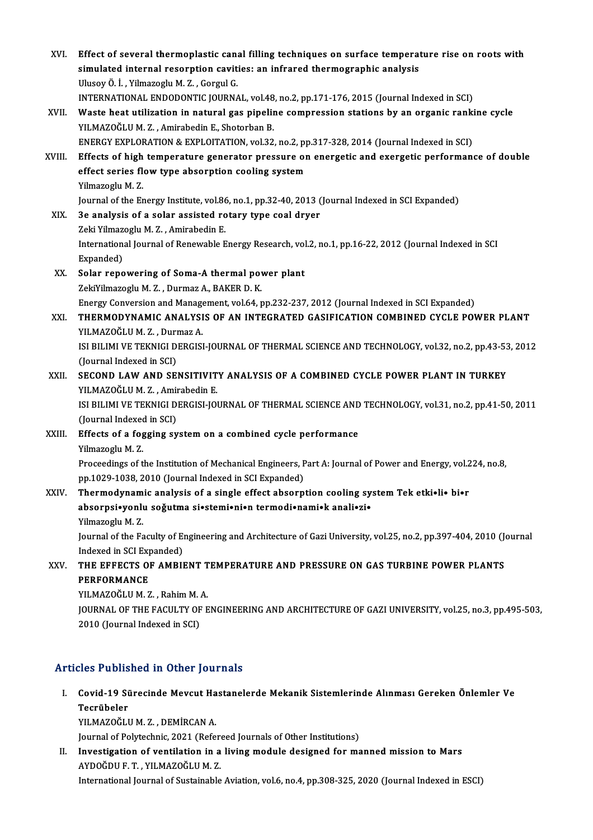| XVI.   | Effect of several thermoplastic canal filling techniques on surface temperature rise on roots with<br>simulated internal resorption cavities: an infrared thermographic analysis |
|--------|----------------------------------------------------------------------------------------------------------------------------------------------------------------------------------|
|        | Ulusoy Ö. İ., Yilmazoglu M. Z., Gorgul G.                                                                                                                                        |
|        | INTERNATIONAL ENDODONTIC JOURNAL, vol.48, no.2, pp.171-176, 2015 (Journal Indexed in SCI)                                                                                        |
| XVII.  | Waste heat utilization in natural gas pipeline compression stations by an organic rankine cycle                                                                                  |
|        | YILMAZOĞLU M.Z., Amirabedin E., Shotorban B.                                                                                                                                     |
|        | ENERGY EXPLORATION & EXPLOITATION, vol.32, no.2, pp.317-328, 2014 (Journal Indexed in SCI)                                                                                       |
| XVIII. | Effects of high temperature generator pressure on energetic and exergetic performance of double                                                                                  |
|        | effect series flow type absorption cooling system                                                                                                                                |
|        | Yilmazoglu M.Z.                                                                                                                                                                  |
|        | Journal of the Energy Institute, vol.86, no.1, pp.32-40, 2013 (Journal Indexed in SCI Expanded)                                                                                  |
| XIX.   | 3e analysis of a solar assisted rotary type coal dryer                                                                                                                           |
|        | Zeki Yilmazoglu M. Z., Amirabedin E.                                                                                                                                             |
|        | International Journal of Renewable Energy Research, vol.2, no.1, pp.16-22, 2012 (Journal Indexed in SCI                                                                          |
|        | Expanded)                                                                                                                                                                        |
| XX.    | Solar repowering of Soma-A thermal power plant                                                                                                                                   |
|        | ZekiYilmazoglu M. Z., Durmaz A., BAKER D. K.                                                                                                                                     |
|        | Energy Conversion and Management, vol.64, pp.232-237, 2012 (Journal Indexed in SCI Expanded)                                                                                     |
| XXI.   | THERMODYNAMIC ANALYSIS OF AN INTEGRATED GASIFICATION COMBINED CYCLE POWER PLANT                                                                                                  |
|        | YILMAZOĞLU M.Z., Durmaz A.                                                                                                                                                       |
|        | ISI BILIMI VE TEKNIGI DERGISI-JOURNAL OF THERMAL SCIENCE AND TECHNOLOGY, vol.32, no.2, pp.43-53, 2012                                                                            |
|        | (Journal Indexed in SCI)                                                                                                                                                         |
| XXII.  | SECOND LAW AND SENSITIVITY ANALYSIS OF A COMBINED CYCLE POWER PLANT IN TURKEY                                                                                                    |
|        | YILMAZOĞLU M.Z., Amirabedin E.                                                                                                                                                   |
|        | ISI BILIMI VE TEKNIGI DERGISI-JOURNAL OF THERMAL SCIENCE AND TECHNOLOGY, vol.31, no.2, pp.41-50, 2011<br>(Journal Indexed in SCI)                                                |
| XXIII. | Effects of a fogging system on a combined cycle performance                                                                                                                      |
|        | Yilmazoglu M.Z.                                                                                                                                                                  |
|        | Proceedings of the Institution of Mechanical Engineers, Part A: Journal of Power and Energy, vol.224, no.8,                                                                      |
|        | pp.1029-1038, 2010 (Journal Indexed in SCI Expanded)                                                                                                                             |
| XXIV.  | Thermodynamic analysis of a single effect absorption cooling system Tek etki.li. bi.r                                                                                            |
|        | absorpsi•yonlu soğutma si•stemi•ni•n termodi•nami•k anali•zi•                                                                                                                    |
|        | Yilmazoglu M.Z.                                                                                                                                                                  |
|        | Journal of the Faculty of Engineering and Architecture of Gazi University, vol.25, no.2, pp.397-404, 2010 (Journal                                                               |
|        | Indexed in SCI Expanded)                                                                                                                                                         |
| XXV.   | THE EFFECTS OF AMBIENT TEMPERATURE AND PRESSURE ON GAS TURBINE POWER PLANTS                                                                                                      |
|        | <b>PERFORMANCE</b>                                                                                                                                                               |
|        | YILMAZOĞLU M.Z., Rahim M.A.                                                                                                                                                      |
|        | JOURNAL OF THE FACULTY OF ENGINEERING AND ARCHITECTURE OF GAZI UNIVERSITY, vol.25, no.3, pp.495-503,                                                                             |
|        | 2010 (Journal Indexed in SCI)                                                                                                                                                    |
|        |                                                                                                                                                                                  |

### Articles Published in Other Journals

rticles Published in Other Journals<br>I. Covid-19 Sürecinde Mevcut Hastanelerde Mekanik Sistemlerinde Alınması Gereken Önlemler Ve<br>Teerübeler Tecrus<br>Covid-19 Si<br>Tecrübeler<br><sup>VII MAZOČII</sup> Covid-19 Sürecinde Mevcut Ha<br>Tecrübeler<br>YILMAZOĞLU M.Z., DEMİRCAN A.<br>Journal of Polytechnis 2021 (Pofo Tecrübeler<br>YILMAZOĞLU M. Z. , DEMİRCAN A.<br>Journal of Polytechnic, 2021 (Refereed Journals of Other Institutions)

YILMAZOĞLU M. Z. , DEMİRCAN A.<br>Journal of Polytechnic, 2021 (Refereed Journals of Other Institutions)<br>II. Investigation of ventilation in a living module designed for manned mission to Mars<br>AVDOĞDU E.T. VILMAZOĞLUM Z Journal of Polytechnic, 2021 (Referent<br>Investigation of ventilation in a<br>AYDOĞDU F. T. , YILMAZOĞLU M. Z.<br>International Journal of Sustainable AYDOĞDU F. T. , YILMAZOĞLU M. Z.<br>International Journal of Sustainable Aviation, vol.6, no.4, pp.308-325, 2020 (Journal Indexed in ESCI)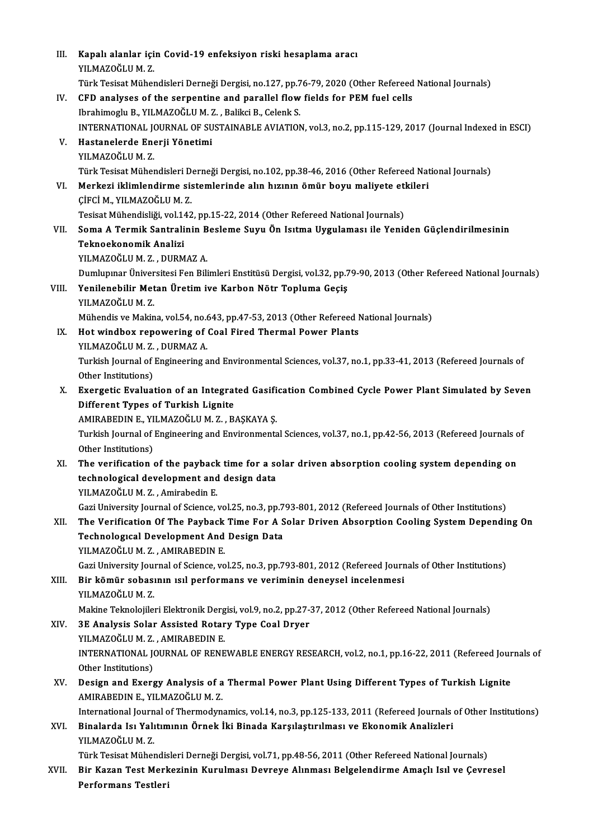| III.  | Kapalı alanlar için Covid-19 enfeksiyon riski hesaplama aracı                                                                        |
|-------|--------------------------------------------------------------------------------------------------------------------------------------|
|       | YILMAZOĞLU M.Z.                                                                                                                      |
|       | Türk Tesisat Mühendisleri Derneği Dergisi, no.127, pp.76-79, 2020 (Other Refereed National Journals)                                 |
| IV.   | CFD analyses of the serpentine and parallel flow fields for PEM fuel cells                                                           |
|       | Ibrahimoglu B., YILMAZOĞLU M. Z., Balikci B., Celenk S.                                                                              |
|       | INTERNATIONAL JOURNAL OF SUSTAINABLE AVIATION, vol.3, no.2, pp.115-129, 2017 (Journal Indexed in ESCI)                               |
| V.    | Hastanelerde Enerji Yönetimi                                                                                                         |
|       | YILMAZOĞLU M.Z.                                                                                                                      |
|       | Türk Tesisat Mühendisleri Derneği Dergisi, no.102, pp.38-46, 2016 (Other Refereed National Journals)                                 |
| VI.   | Merkezi iklimlendirme sistemlerinde alın hızının ömür boyu maliyete etkileri                                                         |
|       | ÇİFCİ M., YILMAZOĞLU M.Z.                                                                                                            |
|       | Tesisat Mühendisliği, vol.142, pp.15-22, 2014 (Other Refereed National Journals)                                                     |
| VII.  | Soma A Termik Santralinin Besleme Suyu Ön Isıtma Uygulaması ile Yeniden Güçlendirilmesinin                                           |
|       | Teknoekonomik Analizi                                                                                                                |
|       | YILMAZOĞLU M.Z., DURMAZ A.                                                                                                           |
|       | Dumlupınar Üniversitesi Fen Bilimleri Enstitüsü Dergisi, vol.32, pp.79-90, 2013 (Other Refereed National Journals)                   |
| VIII. | Yenilenebilir Metan Üretim ive Karbon Nötr Topluma Geçiş                                                                             |
|       | YILMAZOĞLU M.Z.                                                                                                                      |
|       | Mühendis ve Makina, vol.54, no.643, pp.47-53, 2013 (Other Refereed National Journals)                                                |
| IX.   | Hot windbox repowering of Coal Fired Thermal Power Plants<br>YILMAZOĞLU M.Z., DURMAZ A.                                              |
|       |                                                                                                                                      |
|       | Turkish Journal of Engineering and Environmental Sciences, vol.37, no.1, pp.33-41, 2013 (Refereed Journals of<br>Other Institutions) |
| X.    | Exergetic Evaluation of an Integrated Gasification Combined Cycle Power Plant Simulated by Seven                                     |
|       | Different Types of Turkish Lignite                                                                                                   |
|       | AMIRABEDIN E., YILMAZOĞLU M. Z., BAŞKAYA Ş.                                                                                          |
|       | Turkish Journal of Engineering and Environmental Sciences, vol.37, no.1, pp.42-56, 2013 (Refereed Journals of                        |
|       | Other Institutions)                                                                                                                  |
| XI.   | The verification of the payback time for a solar driven absorption cooling system depending on                                       |
|       | technological development and design data                                                                                            |
|       | YILMAZOĞLU M.Z., Amirabedin E.                                                                                                       |
|       | Gazi University Journal of Science, vol.25, no.3, pp.793-801, 2012 (Refereed Journals of Other Institutions)                         |
| XII.  | The Verification Of The Payback Time For A Solar Driven Absorption Cooling System Depending On                                       |
|       | <b>Technological Development And Design Data</b>                                                                                     |
|       | YILMAZOĞLU M.Z., AMIRABEDIN E.                                                                                                       |
|       | Gazi University Journal of Science, vol.25, no.3, pp.793-801, 2012 (Refereed Journals of Other Institutions)                         |
| XIII. | Bir kömür sobasının ısıl performans ve veriminin deneysel incelenmesi                                                                |
|       | YILMAZOĞLU M.Z.                                                                                                                      |
|       | Makine Teknolojileri Elektronik Dergisi, vol.9, no.2, pp.27-37, 2012 (Other Refereed National Journals)                              |
| XIV.  | 3E Analysis Solar Assisted Rotary Type Coal Dryer                                                                                    |
|       | YILMAZOĞLU M.Z., AMIRABEDIN E.                                                                                                       |
|       | INTERNATIONAL JOURNAL OF RENEWABLE ENERGY RESEARCH, vol.2, no.1, pp.16-22, 2011 (Refereed Journals of                                |
|       | Other Institutions)                                                                                                                  |
| XV.   | Design and Exergy Analysis of a Thermal Power Plant Using Different Types of Turkish Lignite                                         |
|       | AMIRABEDIN E., YILMAZOĞLU M.Z.                                                                                                       |
|       | International Journal of Thermodynamics, vol.14, no.3, pp.125-133, 2011 (Refereed Journals of Other Institutions)                    |
| XVI.  | Binalarda Isı Yalıtımının Örnek İki Binada Karşılaştırılması ve Ekonomik Analizleri<br>YILMAZOĞLU M.Z.                               |
|       | Türk Tesisat Mühendisleri Derneği Dergisi, vol.71, pp.48-56, 2011 (Other Refereed National Journals)                                 |
| XVII. | Bir Kazan Test Merkezinin Kurulması Devreye Alınması Belgelendirme Amaçlı Isıl ve Çevresel                                           |
|       | Performans Testleri                                                                                                                  |
|       |                                                                                                                                      |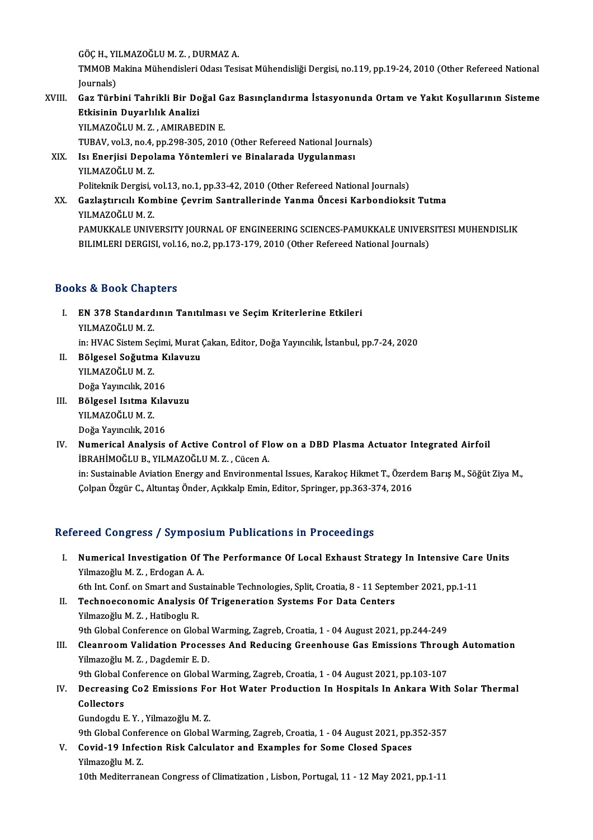GÖÇH.,YILMAZOĞLUM.Z. ,DURMAZA.

GÖÇ H., YILMAZOĞLU M. Z. , DURMAZ A.<br>TMMOB Makina Mühendisleri Odası Tesisat Mühendisliği Dergisi, no.119, pp.19-24, 2010 (Other Refereed National GÖÇ H., YI<br>TMMOB M<br>Journals)<br>Gez Türb TMMOB Makina Mühendisleri Odası Tesisat Mühendisliği Dergisi, no.119, pp.19-24, 2010 (Other Refereed National<br>Journals)<br>XVIII. Gaz Türbini Tahrikli Bir Doğal Gaz Basınçlandırma İstasyonunda Ortam ve Yakıt Koşullarının Sist

# Journals)<br>XVIII. Gaz Türbini Tahrikli Bir Doğal Gaz Basınçlandırma İstasyonunda Ortam ve Yakıt Koşullarının Sisteme<br>Etkisinin Duyarlılık Analizi Etkisinin Duyarlılık Analizi<br>YILMAZOĞLU M. Z. , AMIRABEDIN E.<br>TUBAV, vol.3, no.4, pp.298-305, 2010 (Other Refereed National Journals)<br>Isi Enerijsi Donalama Vöntamlari ve Binalarada Hygulanması

YILMAZOĞLUM.Z., AMIRABEDINE.

XIX. Isı Enerjisi Depolama Yöntemleri ve Binalarada Uygulanması TUBAV, vol.3, no.4,<br>Isı Enerjisi Depol<br>YILMAZOĞLU M. Z.<br>Bolitelmik Dergisi Isı Enerjisi Depolama Yöntemleri ve Binalarada Uygulanması<br>YILMAZOĞLU M. Z.<br>Politeknik Dergisi, vol.13, no.1, pp.33-42, 2010 (Other Refereed National Journals)<br>Carlastuvallı Kombine Courim Santrallerinde Yanma Öngesi Karba

### XX. Gazlaştırıcılı Kombine Çevrim Santrallerinde Yanma Öncesi Karbondioksit Tutma<br>YILMAZOĞLU M. Z. Politeknik Dergisi, v<br>Gazlaştırıcılı Kom<br>YILMAZOĞLU M. Z.<br>PAMIKKALE UNIV PAMUKKALE UNIVERSITY JOURNAL OF ENGINEERING SCIENCES-PAMUKKALE UNIVERSITESI MUHENDISLIK

BILIMLERI DERGISI, vol.16, no.2, pp.173-179, 2010 (Other Refereed National Journals)

### Books&Book Chapters

- ooks & Book Chapters<br>I. EN 378 Standardının Tanıtılması ve Seçim Kriterlerine Etkileri<br>XII MAZQĞLILM 7 YOUR UNICH<br>EN 378 Standard<br>YILMAZOĞLUM.Z. EN 378 Standardının Tanıtılması ve Seçim Kriterlerine Etkileri<br>YILMAZOĞLU M. Z.<br>in: HVAC Sistem Seçimi, Murat Çakan, Editor, Doğa Yayıncılık, İstanbul, pp.7-24, 2020<br>Pölgesel Seğutma Kılayugu YILMAZOĞLU M. Z.<br>in: HVAC Sistem Seçimi, Murat (<br>II. Bölgesel Soğutma Kılavuzu<br>YILMAZOĞLUM Z
- in: HVAC Sistem See<br>Bölgesel Soğutma<br>YILMAZOĞLU M. Z.<br>Doğa Yayıncılık 20 B<mark>ölgesel Soğutma K</mark><br>YILMAZOĞLU M. Z.<br>Doğa Yayıncılık, 2016<br>Pölgesel Isıtma Kıla YILMAZOĞLU M. Z.<br>Doğa Yayıncılık, 2016<br>III. Bölgesel Isıtma Kılavuzu<br>YILMAZOĞLUM Z
- Doğa Yayıncılık, 2016<br>Bölgesel Isıtma Kıla<br>YILMAZOĞLUM. Z.<br>Doğa Yayıncılık, 2016 B<mark>ölgesel Isıtma Kıla</mark><br>YILMAZOĞLU M. Z.<br>Doğa Yayıncılık, 2016<br>Numorisal Analysis
- IV. Numerical Analysis of Active Control of Flowon a DBD Plasma Actuator Integrated Airfoil İBRAHİMOĞLUB.,YILMAZOĞLUM.Z. ,CücenA. Numerical Analysis of Active Control of Flow on a DBD Plasma Actuator Integrated Airfoil<br>İBRAHİMOĞLU B., YILMAZOĞLU M. Z. , Cücen A.<br>in: Sustainable Aviation Energy and Environmental Issues, Karakoç Hikmet T., Özerdem Barı

İBRAHİMOĞLU B., YILMAZOĞLU M. Z. , Cücen A.<br>in: Sustainable Aviation Energy and Environmental Issues, Karakoç Hikmet T., Özerd<br>Çolpan Özgür C., Altuntaş Önder, Açıkkalp Emin, Editor, Springer, pp.363-374, 2016

# Çolpan Özgür C., Altuntaş Önder, Açıkkalp Emin, Editor, Springer, pp.363-374, 2016<br>Refereed Congress / Symposium Publications in Proceedings

- efereed Congress / Symposium Publications in Proceedings<br>I. Numerical Investigation Of The Performance Of Local Exhaust Strategy In Intensive Care Units<br>Vilmagoğlu M.Z., Erdogan A.A. Your Gongross 7 by mpos<br>Numerical Investigation Of 7<br>Yilmazoğlu M. Z., Erdogan A. A. Numerical Investigation Of The Performance Of Local Exhaust Strategy In Intensive Care<br>Yilmazoğlu M. Z. , Erdogan A. A.<br>6th Int. Conf. on Smart and Sustainable Technologies, Split, Croatia, 8 - 11 September 2021, pp.1-11<br>T 6th Int. Conf. on Smart and Sustainable Technologies, Split, Croatia, 8 - 11 September 2021, pp.1-11
- Yilmazoğlu M. Z. , Erdogan A. A.<br>6th Int. Conf. on Smart and Sustainable Technologies, Split, Croatia, 8 11 Septe<br>II. Technoeconomic Analysis Of Trigeneration Systems For Data Centers<br>Yilmazoğlu M. Z. , Hatiboglu R. Technoeconomic Analysis Of Trigeneration Systems For Data Centers<br>Yilmazoğlu M. Z. , Hatiboglu R.<br>9th Global Conference on Global Warming, Zagreb, Croatia, 1 - 04 August 2021, pp.244-249<br>Cleanzoom Validation Brossesse And
- Yilmazoğlu M. Z. , Hatiboglu R.<br>9th Global Conference on Global Warming, Zagreb, Croatia, 1 04 August 2021, pp.244-249<br>III. Cleanroom Validation Processes And Reducing Greenhouse Gas Emissions Through Automation<br>Vilmagoğ 9th Global Conference on Global<br>Cleanroom Validation Proces<br>Yilmazoğlu M. Z. , Dagdemir E. D.<br><sup>Oth Clobal Conference on Clobal</sup> Cleanroom Validation Processes And Reducing Greenhouse Gas Emissions Throu<sub>i</sub><br>Yilmazoğlu M. Z. , Dagdemir E. D.<br>9th Global Conference on Global Warming, Zagreb, Croatia, 1 - 04 August 2021, pp.103-107<br>Despecaing Co.2 Emiss

## Yilmazoğlu M. Z. , Dagdemir E. D.<br>9th Global Conference on Global Warming, Zagreb, Croatia, 1 - 04 August 2021, pp.103-107<br>IV. Decreasing Co2 Emissions For Hot Water Production In Hospitals In Ankara With Solar Thermal 9th Global C<br>Decreasing<br>Collectors<br>Cundesdu E Decreasing Co2 Emissions Fo<br>Collectors<br>Gundogdu E.Y. , Yilmazoğlu M.Z.<br><sup>Oth Clobal Conference en Clobal</sup>

6 <mark>Collectors</mark><br>Gundogdu E. Y. , Yilmazoğlu M. Z.<br>9th Global Conference on Global Warming, Zagreb, Croatia, 1 - 04 August 2021, pp.352-357

### Gundogdu E. Y. , Yilmazoğlu M. Z.<br>9th Global Conference on Global Warming, Zagreb, Croatia, 1 - 04 August 2021, pp.:<br>V. Covid-19 Infection Risk Calculator and Examples for Some Closed Spaces<br>Vilmazoğlu M. Z. 9th Global Confe<br>Covid-19 Infec<br>Yilmazoğlu M. Z.<br>10th Moditerran Yilmazoğlu M. Z.<br>10th Mediterranean Congress of Climatization , Lisbon, Portugal, 11 - 12 May 2021, pp.1-11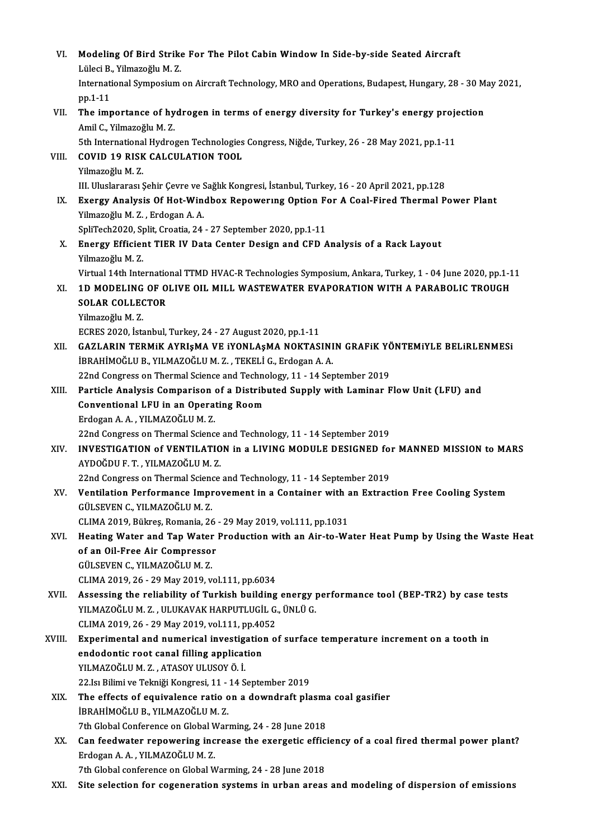| VI.    | Modeling Of Bird Strike For The Pilot Cabin Window In Side-by-side Seated Aircraft                                                      |
|--------|-----------------------------------------------------------------------------------------------------------------------------------------|
|        | Lüleci B., Yilmazoğlu M. Z.<br>International Symposium on Aircraft Technology, MRO and Operations, Budapest, Hungary, 28 - 30 May 2021, |
|        | pp 1-11                                                                                                                                 |
| VII.   | The importance of hydrogen in terms of energy diversity for Turkey's energy projection                                                  |
|        | Amil C., Yilmazoğlu M. Z.                                                                                                               |
|        | 5th International Hydrogen Technologies Congress, Niğde, Turkey, 26 - 28 May 2021, pp.1-11                                              |
| VIII.  | <b>COVID 19 RISK CALCULATION TOOL</b>                                                                                                   |
|        | Yilmazoğlu M.Z.                                                                                                                         |
|        | III. Uluslararası Şehir Çevre ve Sağlık Kongresi, İstanbul, Turkey, 16 - 20 April 2021, pp.128                                          |
| IX.    | Exergy Analysis Of Hot-Windbox Repowering Option For A Coal-Fired Thermal Power Plant<br>Yilmazoğlu M.Z., Erdogan A.A.                  |
|        | SpliTech2020, Split, Croatia, 24 - 27 September 2020, pp.1-11                                                                           |
| X.     | Energy Efficient TIER IV Data Center Design and CFD Analysis of a Rack Layout                                                           |
|        | Yilmazoğlu M.Z.                                                                                                                         |
|        | Virtual 14th International TTMD HVAC-R Technologies Symposium, Ankara, Turkey, 1 - 04 June 2020, pp.1-11                                |
| XI.    | 1D MODELING OF OLIVE OIL MILL WASTEWATER EVAPORATION WITH A PARABOLIC TROUGH                                                            |
|        | <b>SOLAR COLLECTOR</b>                                                                                                                  |
|        | Yilmazoğlu M.Z.                                                                                                                         |
|        | ECRES 2020, İstanbul, Turkey, 24 - 27 August 2020, pp.1-11                                                                              |
| XII.   | GAZLARIN TERMIK AYRIŞMA VE IYONLAŞMA NOKTASININ GRAFIK YÖNTEMIYLE BELIRLENMESI                                                          |
|        | İBRAHİMOĞLU B., YILMAZOĞLU M. Z., TEKELİ G., Erdogan A. A.                                                                              |
|        | 22nd Congress on Thermal Science and Technology, 11 - 14 September 2019                                                                 |
| XIII.  | Particle Analysis Comparison of a Distributed Supply with Laminar Flow Unit (LFU) and                                                   |
|        | <b>Conventional LFU in an Operating Room</b>                                                                                            |
|        | Erdogan A. A., YILMAZOĞLU M. Z.                                                                                                         |
|        | 22nd Congress on Thermal Science and Technology, 11 - 14 September 2019                                                                 |
| XIV.   | INVESTIGATION of VENTILATION in a LIVING MODULE DESIGNED for MANNED MISSION to MARS                                                     |
|        | AYDOĞDU F. T., YILMAZOĞLU M. Z.                                                                                                         |
|        | 22nd Congress on Thermal Science and Technology, 11 - 14 September 2019                                                                 |
| XV.    | Ventilation Performance Improvement in a Container with an Extraction Free Cooling System<br>GÜLSEVEN C., YILMAZOĞLU M.Z.               |
|        | CLIMA 2019, Bükreş, Romania, 26 - 29 May 2019, vol.111, pp.1031                                                                         |
| XVI.   | Heating Water and Tap Water Production with an Air-to-Water Heat Pump by Using the Waste Heat                                           |
|        | of an Oil-Free Air Compressor                                                                                                           |
|        | GÜLSEVEN C., YILMAZOĞLU M.Z.                                                                                                            |
|        | CLIMA 2019, 26 - 29 May 2019, vol.111, pp.6034                                                                                          |
| XVII.  | Assessing the reliability of Turkish building energy performance tool (BEP-TR2) by case tests                                           |
|        | YILMAZOĞLU M.Z., ULUKAVAK HARPUTLUGİL G., ÜNLÜ G.                                                                                       |
|        | CLIMA 2019, 26 - 29 May 2019, vol 111, pp 4052                                                                                          |
| XVIII. | Experimental and numerical investigation of surface temperature increment on a tooth in                                                 |
|        | endodontic root canal filling application                                                                                               |
|        | YILMAZOĞLU M.Z., ATASOY ULUSOY Ö.İ.                                                                                                     |
|        | 22 Isı Bilimi ve Tekniği Kongresi, 11 - 14 September 2019<br>The effects of equivalence ratio on a downdraft plasma coal gasifier       |
| XIX.   | İBRAHİMOĞLU B., YILMAZOĞLU M.Z.                                                                                                         |
|        | 7th Global Conference on Global Warming, 24 - 28 June 2018                                                                              |
| XX.    | Can feedwater repowering increase the exergetic efficiency of a coal fired thermal power plant?                                         |
|        | Erdogan A. A., YILMAZOĞLU M. Z.                                                                                                         |
|        | 7th Global conference on Global Warming, 24 - 28 June 2018                                                                              |
| XXI.   | Site selection for cogeneration systems in urban areas and modeling of dispersion of emissions                                          |
|        |                                                                                                                                         |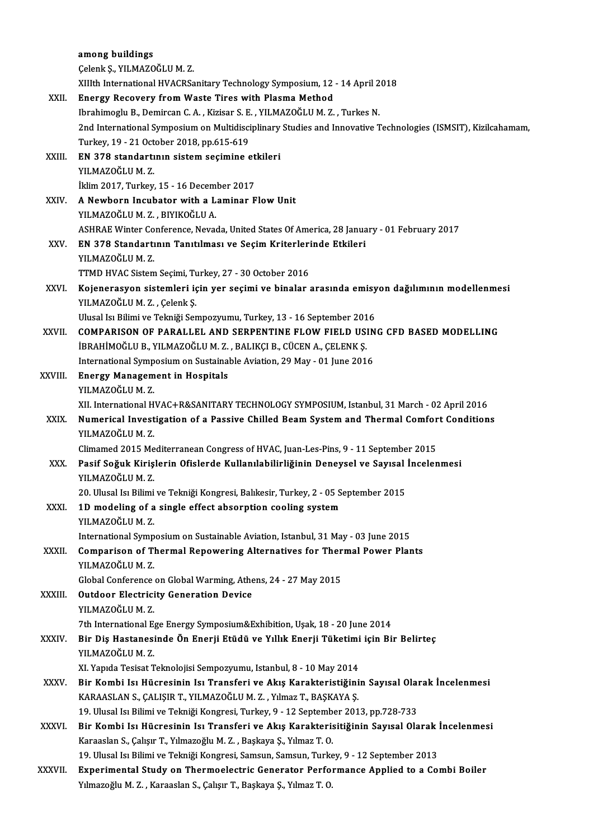|              | among buildings                                                                                              |
|--------------|--------------------------------------------------------------------------------------------------------------|
|              | Çelenk Ş., YILMAZOĞLU M.Z.                                                                                   |
|              | XIIIth International HVACRSanitary Technology Symposium, 12 - 14 April 2018                                  |
| XXII.        | Energy Recovery from Waste Tires with Plasma Method                                                          |
|              | Ibrahimoglu B., Demircan C. A., Kizisar S. E., YILMAZOĞLU M. Z., Turkes N.                                   |
|              | 2nd International Symposium on Multidisciplinary Studies and Innovative Technologies (ISMSIT), Kizilcahamam, |
|              | Turkey, 19 - 21 October 2018, pp.615-619                                                                     |
| XXIII.       | EN 378 standartının sistem seçimine etkileri                                                                 |
|              | YILMAZOĞLU M.Z.                                                                                              |
|              | İklim 2017, Turkey, 15 - 16 December 2017                                                                    |
| XXIV.        | A Newborn Incubator with a Laminar Flow Unit                                                                 |
|              | YILMAZOĞLU M.Z., BIYIKOĞLU A.                                                                                |
|              | ASHRAE Winter Conference, Nevada, United States Of America, 28 January - 01 February 2017                    |
| XXV.         | EN 378 Standartının Tanıtılması ve Seçim Kriterlerinde Etkileri                                              |
|              | YILMAZOĞLU M.Z.                                                                                              |
|              | TTMD HVAC Sistem Seçimi, Turkey, 27 - 30 October 2016                                                        |
| XXVI.        | Kojenerasyon sistemleri için yer seçimi ve binalar arasında emisyon dağılımının modellenmesi                 |
|              | YILMAZOĞLU M.Z., Çelenk Ş.                                                                                   |
|              | Ulusal Isı Bilimi ve Tekniği Sempozyumu, Turkey, 13 - 16 September 2016                                      |
| XXVII.       | COMPARISON OF PARALLEL AND SERPENTINE FLOW FIELD USING CFD BASED MODELLING                                   |
|              | İBRAHİMOĞLU B., YILMAZOĞLU M. Z., BALIKÇI B., CÜCEN A., ÇELENK Ş.                                            |
|              | International Symposium on Sustainable Aviation, 29 May - 01 June 2016                                       |
| XXVIII.      | <b>Energy Management in Hospitals</b>                                                                        |
|              | YILMAZOĞLU M.Z.                                                                                              |
|              | XII. International HVAC+R&SANITARY TECHNOLOGY SYMPOSIUM, Istanbul, 31 March - 02 April 2016                  |
| XXIX.        | Numerical Investigation of a Passive Chilled Beam System and Thermal Comfort Conditions<br>YILMAZOĞLU M.Z.   |
|              | Climamed 2015 Mediterranean Congress of HVAC, Juan-Les-Pins, 9 - 11 September 2015                           |
| XXX -        | Pasif Soğuk Kirişlerin Ofislerde Kullanılabilirliğinin Deneysel ve Sayısal İncelenmesi                       |
|              | YILMAZOĞLU M.Z.                                                                                              |
|              | 20. Ulusal Isı Bilimi ve Tekniği Kongresi, Balıkesir, Turkey, 2 - 05 September 2015                          |
| XXXI.        | 1D modeling of a single effect absorption cooling system                                                     |
|              | YILMAZOĞLU M.Z.                                                                                              |
|              | International Symposium on Sustainable Aviation, Istanbul, 31 May - 03 June 2015                             |
| XXXII.       | Comparison of Thermal Repowering Alternatives for Thermal Power Plants                                       |
|              | YILMAZOĞLU M.Z.                                                                                              |
|              | Global Conference on Global Warming, Athens, 24 - 27 May 2015                                                |
| XXXIII.      | <b>Outdoor Electricity Generation Device</b>                                                                 |
|              | YILMAZOĞLU M.Z.                                                                                              |
|              | 7th International Ege Energy Symposium&Exhibition, Uşak, 18 - 20 June 2014                                   |
| <b>XXXIV</b> | Bir Diş Hastanesinde Ön Enerji Etüdü ve Yıllık Enerji Tüketimi için Bir Belirteç                             |
|              | YILMAZOĞLU M.Z.                                                                                              |
|              | XI. Yapıda Tesisat Teknolojisi Sempozyumu, Istanbul, 8 - 10 May 2014                                         |
| XXXV         | Bir Kombi Isı Hücresinin Isı Transferi ve Akış Karakteristiğinin Sayısal Olarak İncelenmesi                  |
|              | KARAASLAN S., ÇALIŞIR T., YILMAZOĞLU M. Z., Yılmaz T., BAŞKAYA Ş.                                            |
|              | 19. Ulusal Isı Bilimi ve Tekniği Kongresi, Turkey, 9 - 12 September 2013, pp 728-733                         |
| XXXVI.       | Bir Kombi Isı Hücresinin Isı Transferi ve Akış Karakterisitiğinin Sayısal Olarak İncelenmesi                 |
|              | Karaaslan S., Çalışır T., Yılmazoğlu M. Z., Başkaya Ş., Yılmaz T. O.                                         |
|              | 19. Ulusal Isı Bilimi ve Tekniği Kongresi, Samsun, Samsun, Turkey, 9 - 12 September 2013                     |
| XXXVII.      | Experimental Study on Thermoelectric Generator Performance Applied to a Combi Boiler                         |
|              | Yılmazoğlu M. Z., Karaaslan S., Çalışır T., Başkaya Ş., Yılmaz T. O.                                         |
|              |                                                                                                              |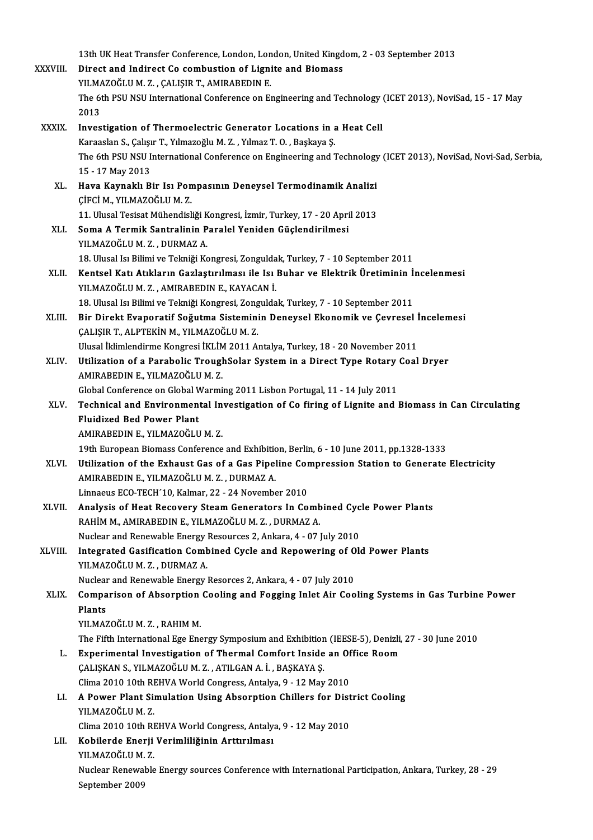13th UK Heat Transfer Conference, London, London, United Kingdom, 2 - 03 September 2013<br>Pinest and Indinest Co combustion of Lispite and Biomass

|              | 13th UK Heat Transfer Conference, London, London, United Kingdom, 2 - 03 September 2013                                         |
|--------------|---------------------------------------------------------------------------------------------------------------------------------|
| XXXVIII.     | Direct and Indirect Co combustion of Lignite and Biomass                                                                        |
|              | YILMAZOĞLU M.Z., ÇALIŞIR T., AMIRABEDIN E.                                                                                      |
|              | The 6th PSU NSU International Conference on Engineering and Technology (ICET 2013), NoviSad, 15 - 17 May                        |
|              | 2013                                                                                                                            |
| <b>XXXIX</b> | Investigation of Thermoelectric Generator Locations in a Heat Cell                                                              |
|              | Karaaslan S., Çalışır T., Yılmazoğlu M. Z., Yılmaz T. O., Başkaya Ş.                                                            |
|              | The 6th PSU NSU International Conference on Engineering and Technology (ICET 2013), NoviSad, Novi-Sad, Serbia,                  |
|              | 15 - 17 May 2013                                                                                                                |
| XL.          | Hava Kaynaklı Bir Isı Pompasının Deneysel Termodinamik Analizi                                                                  |
|              | ÇİFCİ M., YILMAZOĞLU M.Z.                                                                                                       |
|              | 11. Ulusal Tesisat Mühendisliği Kongresi, İzmir, Turkey, 17 - 20 April 2013                                                     |
| XLI.         | Soma A Termik Santralinin Paralel Yeniden Güçlendirilmesi                                                                       |
|              | YILMAZOĞLU M.Z., DURMAZ A.                                                                                                      |
|              | 18. Ulusal Isı Bilimi ve Tekniği Kongresi, Zonguldak, Turkey, 7 - 10 September 2011                                             |
| XLII.        | Kentsel Katı Atıkların Gazlaştırılması ile Isı Buhar ve Elektrik Üretiminin İncelenmesi                                         |
|              | YILMAZOĞLU M.Z., AMIRABEDIN E., KAYACAN İ.                                                                                      |
|              | 18. Ulusal Isı Bilimi ve Tekniği Kongresi, Zonguldak, Turkey, 7 - 10 September 2011                                             |
| XLIII.       | Bir Direkt Evaporatif Soğutma Sisteminin Deneysel Ekonomik ve Çevresel İncelemesi                                               |
|              | ÇALIŞIR T., ALPTEKİN M., YILMAZOĞLU M.Z.                                                                                        |
|              | Ulusal İklimlendirme Kongresi İKLİM 2011 Antalya, Turkey, 18 - 20 November 2011                                                 |
| XLIV.        | Utilization of a Parabolic TroughSolar System in a Direct Type Rotary Coal Dryer                                                |
|              | AMIRABEDIN E., YILMAZOĞLU M.Z.                                                                                                  |
|              | Global Conference on Global Warming 2011 Lisbon Portugal, 11 - 14 July 2011                                                     |
| XLV.         | Technical and Environmental Investigation of Co firing of Lignite and Biomass in Can Circulating                                |
|              | <b>Fluidized Bed Power Plant</b>                                                                                                |
|              | AMIRABEDIN E., YILMAZOĞLU M.Z.                                                                                                  |
|              | 19th European Biomass Conference and Exhibition, Berlin, 6 - 10 June 2011, pp.1328-1333                                         |
| XLVI.        | Utilization of the Exhaust Gas of a Gas Pipeline Compression Station to Generate Electricity                                    |
|              | AMIRABEDIN E. YILMAZOĞLU M. Z. DURMAZ A.                                                                                        |
|              | Linnaeus ECO-TECH'10, Kalmar, 22 - 24 November 2010                                                                             |
| XLVII.       | Analysis of Heat Recovery Steam Generators In Combined Cycle Power Plants                                                       |
|              | RAHİM M., AMIRABEDIN E., YILMAZOĞLU M.Z., DURMAZ A.                                                                             |
|              | Nuclear and Renewable Energy Resources 2, Ankara, 4 - 07 July 2010                                                              |
| XLVIII.      | Integrated Gasification Combined Cycle and Repowering of Old Power Plants                                                       |
|              | YILMAZOĞLU M.Z., DURMAZ A.                                                                                                      |
|              | Nuclear and Renewable Energy Resorces 2, Ankara, 4 - 07 July 2010                                                               |
| XLIX.        | Comparison of Absorption Cooling and Fogging Inlet Air Cooling Systems in Gas Turbine Power                                     |
|              | Plants                                                                                                                          |
|              | YILMAZOĞLU M.Z., RAHIM M.                                                                                                       |
|              | The Fifth International Ege Energy Symposium and Exhibition (IEESE-5), Denizli, 27 - 30 June 2010                               |
| L.           | Experimental Investigation of Thermal Comfort Inside an Office Room<br>ÇALIŞKAN S., YILMAZOĞLU M. Z., ATILGAN A. İ., BAŞKAYA Ş. |
|              | Clima 2010 10th REHVA World Congress, Antalya, 9 - 12 May 2010                                                                  |
|              | A Power Plant Simulation Using Absorption Chillers for District Cooling                                                         |
| LI.          | YILMAZOĞLU M.Z.                                                                                                                 |
|              | Clima 2010 10th REHVA World Congress, Antalya, 9 - 12 May 2010                                                                  |
| LII.         | Kobilerde Enerji Verimliliğinin Arttırılması                                                                                    |
|              | YILMAZOĞLU M.Z.                                                                                                                 |
|              | Nuclear Renewable Energy sources Conference with International Participation, Ankara, Turkey, 28 - 29                           |
|              | September 2009                                                                                                                  |
|              |                                                                                                                                 |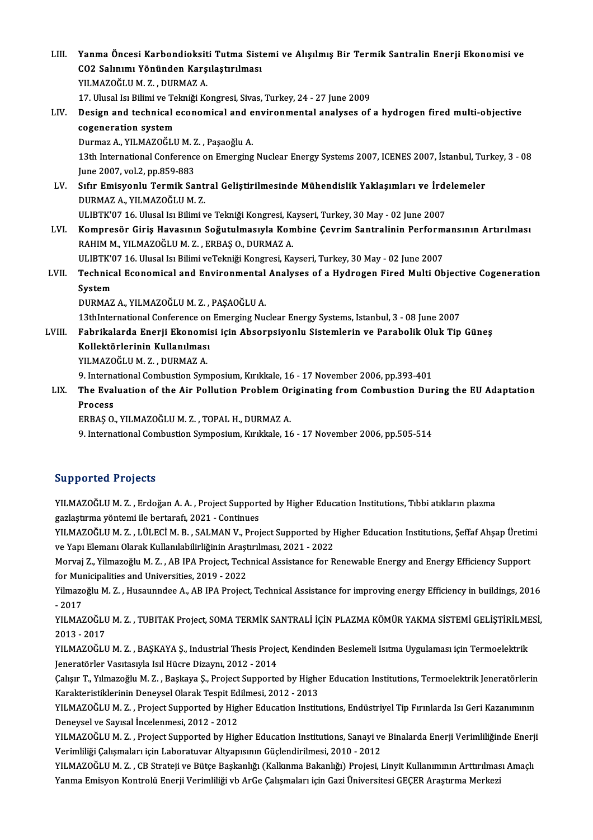| LIII.  | Yanma Öncesi Karbondioksiti Tutma Sistemi ve Alışılmış Bir Termik Santralin Enerji Ekonomisi ve              |
|--------|--------------------------------------------------------------------------------------------------------------|
|        | CO2 Salınımı Yönünden Karşılaştırılması                                                                      |
|        | YILMAZOĞLU M.Z., DURMAZ A.                                                                                   |
|        | 17. Ulusal Isı Bilimi ve Tekniği Kongresi, Sivas, Turkey, 24 - 27 June 2009                                  |
| LIV.   | Design and technical economical and environmental analyses of a hydrogen fired multi-objective               |
|        | cogeneration system                                                                                          |
|        | Durmaz A., YILMAZOĞLU M. Z., Paşaoğlu A.                                                                     |
|        | 13th International Conference on Emerging Nuclear Energy Systems 2007, ICENES 2007, İstanbul, Turkey, 3 - 08 |
|        | June 2007, vol.2, pp.859-883                                                                                 |
| LV.    | Sıfır Emisyonlu Termik Santral Geliştirilmesinde Mühendislik Yaklaşımları ve İrdelemeler                     |
|        | DURMAZ A., YILMAZOĞLU M.Z.                                                                                   |
|        | ULIBTK'07 16. Ulusal Isı Bilimi ve Tekniği Kongresi, Kayseri, Turkey, 30 May - 02 June 2007                  |
| LVI.   | Kompresör Giriş Havasının Soğutulmasıyla Kombine Çevrim Santralinin Performansının Artırılması               |
|        | RAHIM M., YILMAZOĞLU M. Z., ERBAŞ O., DURMAZ A.                                                              |
|        | ULIBTK'07 16. Ulusal Isı Bilimi veTekniği Kongresi, Kayseri, Turkey, 30 May - 02 June 2007                   |
| LVII.  | Technical Economical and Environmental Analyses of a Hydrogen Fired Multi Objective Cogeneration             |
|        | System                                                                                                       |
|        | DURMAZ A., YILMAZOĞLU M. Z., PAŞAOĞLU A.                                                                     |
|        | 13thInternational Conference on Emerging Nuclear Energy Systems, Istanbul, 3 - 08 June 2007                  |
| LVIII. | Fabrikalarda Enerji Ekonomisi için Absorpsiyonlu Sistemlerin ve Parabolik Oluk Tip Güneş                     |
|        | Kollektörlerinin Kullanılması                                                                                |
|        | YILMAZOĞLU M.Z., DURMAZ A.                                                                                   |
|        | 9. International Combustion Symposium, Kırıkkale, 16 - 17 November 2006, pp.393-401                          |
| LIX.   | The Evaluation of the Air Pollution Problem Originating from Combustion During the EU Adaptation             |
|        | $D_{max}$                                                                                                    |

### Process

ERBAŞO.,YILMAZOĞLUM.Z. ,TOPALH.,DURMAZA.

9. International Combustion Symposium, Kırıkkale, 16 - 17 November 2006, pp.505-514

### Supported Projects

Supported Projects<br>YILMAZOĞLU M. Z. , Erdoğan A. A. , Project Supported by Higher Education Institutions, Tıbbi atıkların plazma<br>SPRASTIVID VÄRTOMİ ile bertaref: 2021 - Centinues ya per cea 1195ec.<br>1990 - YILMAZOĞLU M. Z. , Erdoğan A. A. , Project Support<br>1992 - Sal Mazoğlu M. Z. , LÜLECİ M. B. SALMAN V. Proj gazlaştırma yöntemi ile bertarafı, 2021 - Continues<br>YILMAZOĞLU M. Z. , LÜLECİ M. B. , SALMAN V., Project Supported by Higher Education Institutions, Şeffaf Ahşap Üretimi

gazlaştırma yöntemi ile bertarafı, 2021 - Continues<br>YILMAZOĞLU M. Z. , LÜLECİ M. B. , SALMAN V., Project Supported by F<br>ve Yapı Elemanı Olarak Kullanılabilirliğinin Araştırılması, 2021 - 2022<br>Morvai Z. Vilmazoğlu M. Z. . A YILMAZOĞLU M. Z. , LÜLECİ M. B. , SALMAN V., Project Supported by Higher Education Institutions, Şeffaf Ahşap Üretin<br>ve Yapı Elemanı Olarak Kullanılabilirliğinin Araştırılması, 2021 - 2022<br>Morvaj Z., Yilmazoğlu M. Z. , AB

ve Yapı Elemanı Olarak Kullanılabilirliğinin Araşt<br>Morvaj Z., Yilmazoğlu M. Z. , AB IPA Project, Tech<br>for Municipalities and Universities, 2019 - 2022<br>Vilmazoğlu M. Z., Husaunndee A. AB IBA Project Morvaj Z., Yilmazoğlu M. Z. , AB IPA Project, Technical Assistance for Renewable Energy and Energy Efficiency Support<br>for Municipalities and Universities, 2019 - 2022<br>Yilmazoğlu M. Z. , Husaunndee A., AB IPA Project, Techn

for Municipalities and Universities, 2019 - 2022<br>Yilmazoğlu M. Z. , Husaunndee A., AB IPA Project, Technical Assistance for improving energy Efficiency in buildings, 2016<br>- 2017 Yilmazoğlu M. Z. , Husaunndee A., AB IPA Project, Technical Assistance for improving energy Efficiency in buildings, 2016<br>- 2017<br>YILMAZOĞLU M. Z. , TUBITAK Project, SOMA TERMİK SANTRALİ İÇİN PLAZMA KÖMÜR YAKMA SİSTEMİ GELİ

- 2017<br>YILMAZOĞLU<br>2013 - 2017<br>YU MAZOĞLU YILMAZOĞLU M. Z. , TUBITAK Project, SOMA TERMİK SANTRALİ İÇİN PLAZMA KÖMÜR YAKMA SİSTEMİ GELİŞTİRİLME<br>2013 - 2017<br>YILMAZOĞLU M. Z. , BAŞKAYA Ş., Industrial Thesis Project, Kendinden Beslemeli Isıtma Uygulaması için Termoel

2013 - 2017<br>YILMAZOĞLU M. Z. , BAŞKAYA Ş., Industrial Thesis Project, Kendinden Beslemeli Isıtma Uygulaması için Termoelektrik<br>Jeneratörler Vasıtasıyla Isıl Hücre Dizaynı, 2012 - 2014 YILMAZOĞLU M. Z. , BAŞKAYA Ş., Industrial Thesis Project, Kendinden Beslemeli Isıtma Uygulaması için Termoelektrik<br>Jeneratörler Vasıtasıyla Isıl Hücre Dizaynı, 2012 - 2014<br>Çalışır T., Yılmazoğlu M. Z. , Başkaya Ş., Project

Jeneratörler Vasıtasıyla Isıl Hücre Dizaynı, 2012 - 2014<br>Çalışır T., Yılmazoğlu M. Z. , Başkaya Ş., Project Supported by Highe<br>Karakteristiklerinin Deneysel Olarak Tespit Edilmesi, 2012 - 2013<br>YU MAZOĞLUM Z., Project Suppo Çalışır T., Yılmazoğlu M. Z. , Başkaya Ş., Project Supported by Higher Education Institutions, Termoelektrik Jeneratörlerin<br>Karakteristiklerinin Deneysel Olarak Tespit Edilmesi, 2012 - 2013<br>YILMAZOĞLU M. Z. , Project Suppo

Karakteristiklerinin Deneysel Olarak Tespit Edilmesi, 2012 - 2013<br>YILMAZOĞLU M. Z. , Project Supported by Higher Education Institutions, Endüstriyel Tip Fırınlarda Isı Geri Kazanımının<br>Deneysel ve Sayısal İncelenmesi, 2012

YILMAZOĞLUM.Z., Project Supported by Higher Education Institutions, Sanayi ve Binalarda Enerji Verimliliğinde Enerji Verimliliği Çalışmaları için Laboratuvar Altyapısının Güçlendirilmesi, 2010 - 2012 YILMAZOĞLU M. Z. , Project Supported by Higher Education Institutions, Sanayi ve Binalarda Enerji Verimliliğinde Enerj<br>Verimliliği Çalışmaları için Laboratuvar Altyapısının Güçlendirilmesi, 2010 - 2012<br>YILMAZOĞLU M. Z. , C

Verimliliği Çalışmaları için Laboratuvar Altyapısının Güçlendirilmesi, 2010 - 2012<br>YILMAZOĞLU M. Z. , CB Strateji ve Bütçe Başkanlığı (Kalkınma Bakanlığı) Projesi, Linyit Kullanımının Arttırılmas<br>Yanma Emisyon Kontrolü Ene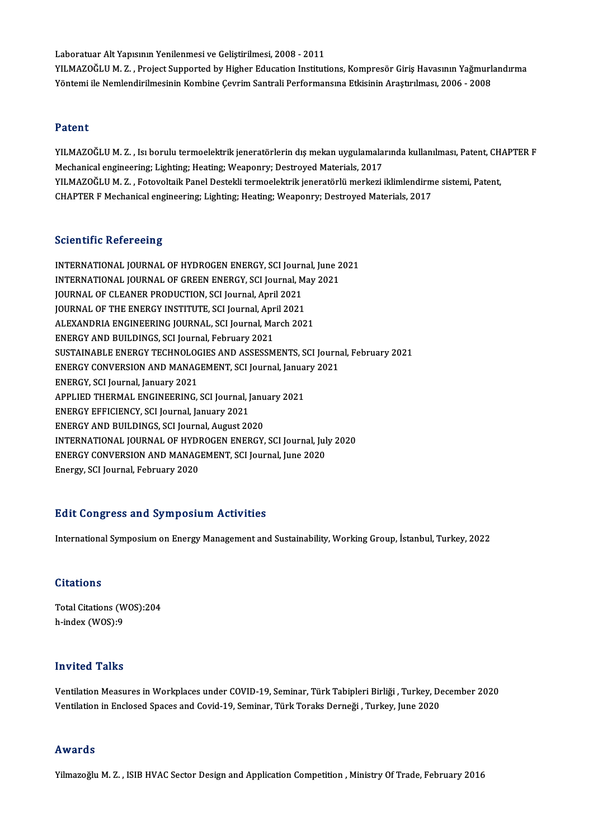Laboratuar Alt Yapısının Yenilenmesi ve Geliştirilmesi, 2008 - 2011 Laboratuar Alt Yapısının Yenilenmesi ve Geliştirilmesi, 2008 - 2011<br>YILMAZOĞLU M. Z. , Project Supported by Higher Education Institutions, Kompresör Giriş Havasının Yağmurlandırma<br>Yöntemi ile Nemlandirilmesinin Kombine Cey Laboratuar Alt Yapısının Yenilenmesi ve Geliştirilmesi, 2008 - 2011<br>YILMAZOĞLU M. Z. , Project Supported by Higher Education Institutions, Kompresör Giriş Havasının Yağmurl<br>Yöntemi ile Nemlendirilmesinin Kombine Çevrim San Yöntemi ile Nemlendirilmesinin Kombine Çevrim Santrali Performansına Etkisinin Araştırılması, 2006 - 2008<br>Patent

Patent<br>YILMAZOĞLU M. Z. , Isı borulu termoelektrik jeneratörlerin dış mekan uygulamalarında kullanılması, Patent, CHAPTER F<br>Mechanical angineering: Lishting: Hesting: Weapenry: Destreyed Materials, 2017 r acerre<br>YILMAZOĞLU M. Z. , Isı borulu termoelektrik jeneratörlerin dış mekan uygulamala<br>Mechanical engineering; Lighting; Heating; Weaponry; Destroyed Materials, 2017<br>YU MAZOĞLU M. Z. - Feteveltaik Panel Destekli termoele YILMAZOĞLU M. Z. , Isı borulu termoelektrik jeneratörlerin dış mekan uygulamalarında kullanılması, Patent, CH.<br>Mechanical engineering; Lighting; Heating; Weaponry; Destroyed Materials, 2017<br>YILMAZOĞLU M. Z. , Fotovoltaik P Mechanical engineering; Lighting; Heating; Weaponry; Destroyed Materials, 2017<br>YILMAZOĞLU M. Z. , Fotovoltaik Panel Destekli termoelektrik jeneratörlü merkezi iklimlendirme sistemi, Patent,<br>CHAPTER F Mechanical engineering

### **Scientific Refereeing**

Scientific Refereeing<br>INTERNATIONAL JOURNAL OF HYDROGEN ENERGY, SCI Journal, June 2021<br>INTERNATIONAL JOURNAL OF CREEN ENERGY, SCI Journal May 2021 BEICHTHIE INFIDENTIE<br>INTERNATIONAL JOURNAL OF HYDROGEN ENERGY, SCI Journal, June 2<br>INTERNATIONAL JOURNAL OF GREEN ENERGY, SCI Journal, May 2021<br>JOURNAL OF CLEANER PRODUCTION, SCI Journal April 2021 INTERNATIONAL JOURNAL OF HYDROGEN ENERGY, SCI Journ<br>INTERNATIONAL JOURNAL OF GREEN ENERGY, SCI Journal, M<br>JOURNAL OF CLEANER PRODUCTION, SCI Journal, April 2021<br>JOURNAL OF THE ENERGY INSTITUTE, SCI Journal, April 2021 INTERNATIONAL JOURNAL OF GREEN ENERGY, SCI Journal, M.<br>JOURNAL OF CLEANER PRODUCTION, SCI Journal, April 2021<br>JOURNAL OF THE ENERGY INSTITUTE, SCI Journal, April 2021<br>ALEXANDEIA ENCINEERING JOURNAL SCI Journal March 202 JOURNAL OF CLEANER PRODUCTION, SCI Journal, April 2021<br>JOURNAL OF THE ENERGY INSTITUTE, SCI Journal, April 2021<br>ALEXANDRIA ENGINEERING JOURNAL, SCI Journal, March 2021<br>ENERCY AND PHILDINGS, SCI Journal, Echrugry 2021 JOURNAL OF THE ENERGY INSTITUTE, SCI Journal, April 2021<br>ALEXANDRIA ENGINEERING JOURNAL, SCI Journal, March 2021<br>ENERGY AND BUILDINGS, SCI Journal, February 2021 ALEXANDRIA ENGINEERING JOURNAL, SCI Journal, March 2021<br>ENERGY AND BUILDINGS, SCI Journal, February 2021<br>SUSTAINABLE ENERGY TECHNOLOGIES AND ASSESSMENTS, SCI Journal, February 2021<br>ENERGY CONVERSION AND MANACEMENT, SCI Jou ENERGY AND BUILDINGS, SCI Journal, February 2021<br>SUSTAINABLE ENERGY TECHNOLOGIES AND ASSESSMENTS, SCI Journa<br>ENERGY CONVERSION AND MANAGEMENT, SCI Journal, January 2021<br>ENERGY SCI Journal Jonuary 2021 SUSTAINABLE ENERGY TECHNOLO<mark>C</mark><br>ENERGY CONVERSION AND MANAG<br>ENERGY, SCI Journal, January 2021<br>APPLIED THERMAL ENCINEERING ENERGY CONVERSION AND MANAGEMENT, SCI Journal, January 2021<br>ENERGY, SCI Journal, January 2021<br>APPLIED THERMAL ENGINEERING, SCI Journal, January 2021<br>ENERGY EFFICIENCY, SCI Journal, January 2021 ENERGY, SCI Journal, January 2021<br>APPLIED THERMAL ENGINEERING, SCI Journal, J<br>ENERGY EFFICIENCY, SCI Journal, January 2021<br>ENERGY AND PUU DINGS, SCI Journal, August 20 APPLIED THERMAL ENGINEERING, SCI Journal, Janu<br>ENERGY EFFICIENCY, SCI Journal, January 2021<br>ENERGY AND BUILDINGS, SCI Journal, August 2020<br>INTERNATIONAL JOURNAL OF HYDROCEN ENERCY ENERGY EFFICIENCY, SCI Journal, January 2021<br>ENERGY AND BUILDINGS, SCI Journal, August 2020<br>INTERNATIONAL JOURNAL OF HYDROGEN ENERGY, SCI Journal, July 2020<br>ENERGY CONVERSION AND MANAGEMENT, SCI Journal June 2020 ENERGY AND BUILDINGS, SCI Journal, August 2020<br>INTERNATIONAL JOURNAL OF HYDROGEN ENERGY, SCI Journal, Jul<br>ENERGY CONVERSION AND MANAGEMENT, SCI Journal, June 2020<br>Energy SCI Journal Echmiemy 2020 INTERNATIONAL JOURNAL OF HYDI<br>ENERGY CONVERSION AND MANAG<br>Energy, SCI Journal, February 2020

# Energy, SCI Journal, February 2020<br>Edit Congress and Symposium Activities

International Symposium on Energy Management and Sustainability, Working Group, İstanbul, Turkey, 2022

### **Citations**

Total Citations (WOS):204 h-index (WOS):9

### Invited Talks

I**nvited Talks**<br>Ventilation Measures in Workplaces under COVID-19, Seminar, Türk Tabipleri Birliği , Turkey, December 2020<br>Ventilation in Enclosed Spasse and Covid 19, Seminar, Türk Tapaka Denneği , Turkey, June 2020 111V1004-1 a1110<br>Ventilation Measures in Workplaces under COVID-19, Seminar, Türk Tabipleri Birliği , Turkey, Jo<br>Ventilation in Enclosed Spaces and Covid-19, Seminar, Türk Toraks Derneği , Turkey, June 2020 Ventilation in Enclosed Spaces and Covid-19, Seminar, Türk Toraks Derneği , Turkey, June 2020<br>Awards

Yilmazoğlu M.Z., ISIB HVAC Sector Design and Application Competition, Ministry Of Trade, February 2016